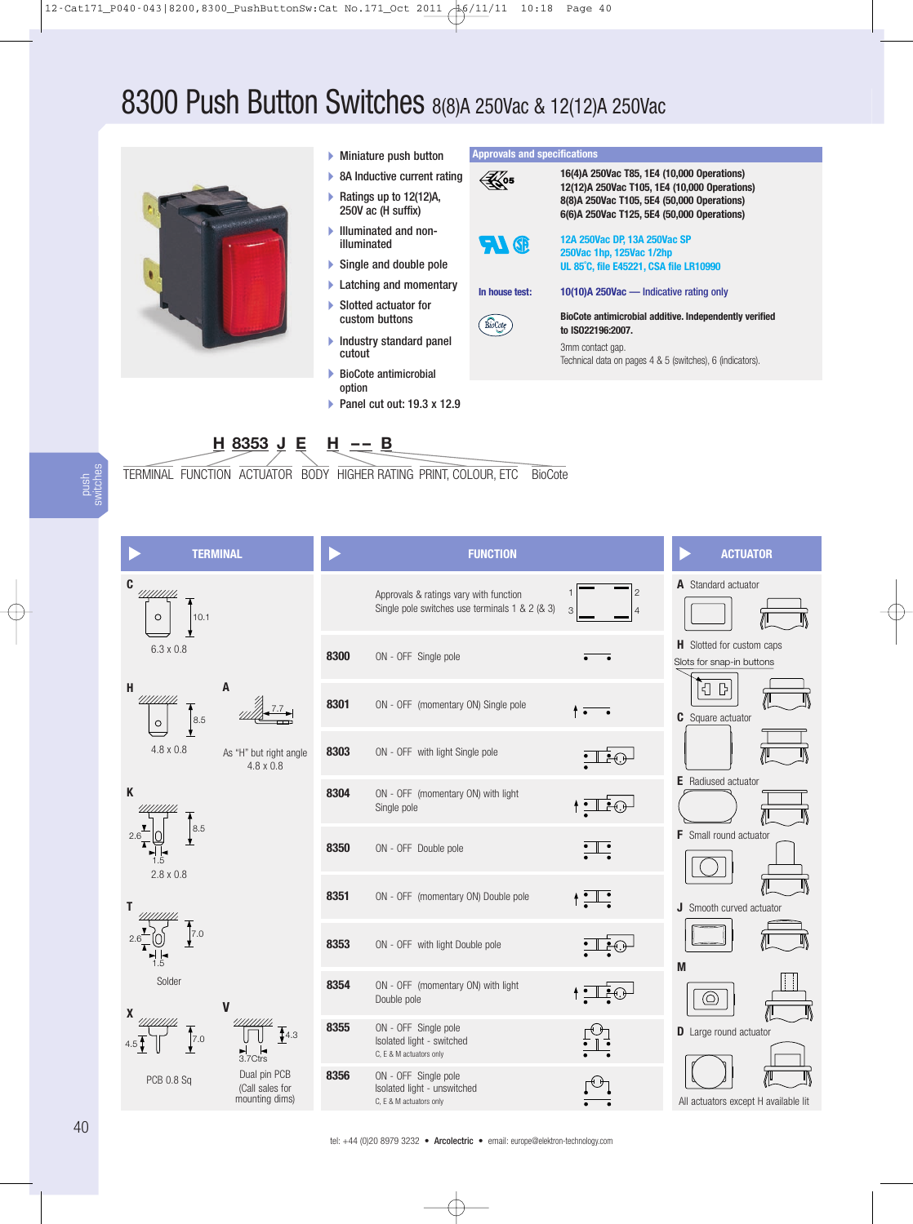# 8300 Push Button Switches 8(8)A 250Vac & 12(12)A 250Vac



- Miniature push button
- ▶ 8A Inductive current rating ▶ Ratings up to 12(12)A, 250V ac (H suffix)
- Illuminated and nonilluminated
- ▶ Single and double pole
- **Latching and momentary**
- ▶ Slotted actuator for custom buttons
- $\blacktriangleright$  Industry standard panel cutout
- BioCote antimicrobial option
- Panel cut out: 19.3 x 12.9

**Approvals and specifications**



**<sup>H</sup> <sup>8353</sup> <sup>J</sup> <sup>E</sup> <sup>H</sup> -- <sup>B</sup>**

mounting dims)

TERMINAL FUNCTION ACTUATOR BODY HIGHER RATING PRINT, COLOUR, ETC BioCote

push switches

| <b>TERMINAL</b>                                                |                            | <b>FUNCTION</b>                                                                          |                                                                           | <b>ACTUATOR</b>                                               |
|----------------------------------------------------------------|----------------------------|------------------------------------------------------------------------------------------|---------------------------------------------------------------------------|---------------------------------------------------------------|
| $\mathbf{C}$<br>//////////<br>10.1<br>$\circ$                  |                            | Approvals & ratings vary with function<br>Single pole switches use terminals 1 & 2 (& 3) | 2<br>3                                                                    | A Standard actuator                                           |
| 6.3 x 0.8                                                      | 8300                       | ON - OFF Single pole                                                                     |                                                                           | <b>H</b> Slotted for custom caps<br>Slots for snap-in buttons |
| A<br>H<br>//////////<br>$8.5\,$<br>$\circ$                     | 8301                       | ON - OFF (momentary ON) Single pole                                                      | $\bullet$                                                                 | {<br>$\mathbb{B}$<br><b>C</b> Square actuator                 |
| $4.8 \times 0.8$<br>As "H" but right angle<br>$4.8 \times 0.8$ | 8303                       | ON - OFF with light Single pole                                                          |                                                                           |                                                               |
| K                                                              | 8304                       | ON - OFF (momentary ON) with light<br>Single pole                                        | _€⊕                                                                       | <b>E</b> Radiused actuator                                    |
| 8.5<br>2.6<br>1.5<br>$2.8 \times 0.8$                          | 8350                       | ON - OFF Double pole                                                                     | $: \mathrel{\mathop{\rule{0pt}{0pt}}\limits{\scriptscriptstyle \bullet}}$ | <b>F</b> Small round actuator                                 |
| 7.0<br>1.5                                                     | 8351                       | ON - OFF (momentary ON) Double pole                                                      | $+ \frac{1}{2}$                                                           | <b>J</b> Smooth curved actuator                               |
|                                                                | 8353                       | ON - OFF with light Double pole                                                          | ÷Ū                                                                        | M                                                             |
| Solder<br>V<br>X                                               | 8354                       | ON - OFF (momentary ON) with light<br>Double pole                                        |                                                                           | $\circledcirc$                                                |
| $\sqrt{7.0}$<br>3.7Ctrs                                        | 8355<br>$\overline{4}$ 4.3 | ON - OFF Single pole<br>Isolated light - switched<br>C, E & M actuators only             |                                                                           | <b>D</b> Large round actuator                                 |
| Dual pin PCB<br><b>PCB 0.8 Sq</b><br>(Call sales for           | 8356                       | ON - OFF Single pole<br>Isolated light - unswitched                                      | ↔                                                                         |                                                               |